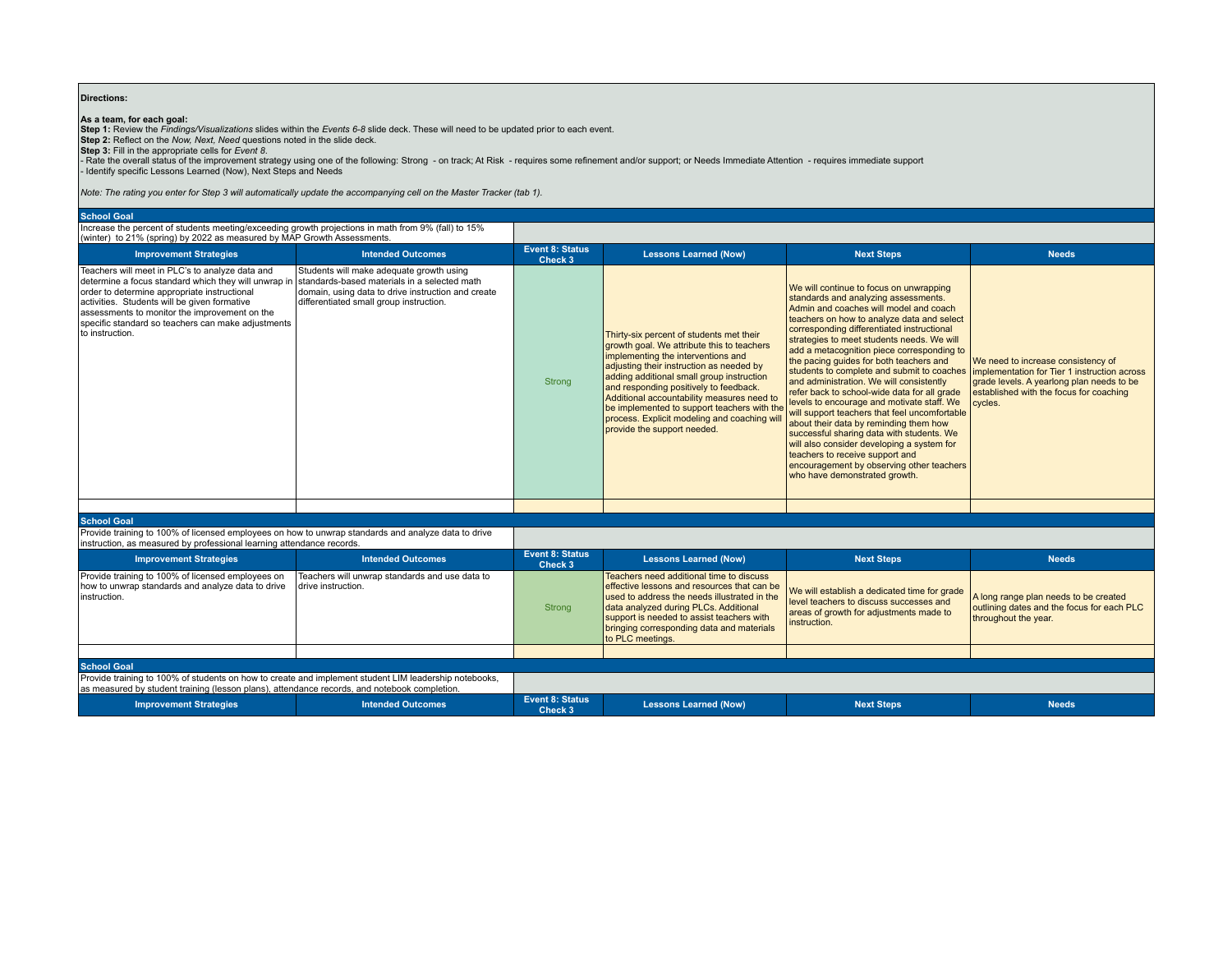## **Directions:**

**As a team, for each goal:**<br>Step 1: Review the *Findings∕Visualizations* slides within the *Events 6-8* slide deck. These will need to be updated prior to each event.<br>Step 2: Reflect on the *Now, Next, Need* questions not

- Rate the overall status of the improvement strategy using one of the following: Strong - on track; At Risk - requires some refinement and/or support; or Needs Immediate Attention - requires immediate support - Identify specific Lessons Learned (Now), Next Steps and Needs

*Note: The rating you enter for Step 3 will automatically update the accompanying cell on the Master Tracker (tab 1).*

**School Goal** Increase the percent of students meeting/exceeding growth projections in math from 9% (fall) to 15%

| (winter) to 21% (spring) by 2022 as measured by MAP Growth Assessments.                                                                                                                                                                                                                                                           |                                                                                                                                                                                           |                                   |                                                                                                                                                                                                                                                                                                                                                                                                                                             |                                                                                                                                                                                                                                                                                                                                                                                                                                                                                                                                                                                                                                                                                                                                                                                                                                                                                                          |                                                                                                                                       |
|-----------------------------------------------------------------------------------------------------------------------------------------------------------------------------------------------------------------------------------------------------------------------------------------------------------------------------------|-------------------------------------------------------------------------------------------------------------------------------------------------------------------------------------------|-----------------------------------|---------------------------------------------------------------------------------------------------------------------------------------------------------------------------------------------------------------------------------------------------------------------------------------------------------------------------------------------------------------------------------------------------------------------------------------------|----------------------------------------------------------------------------------------------------------------------------------------------------------------------------------------------------------------------------------------------------------------------------------------------------------------------------------------------------------------------------------------------------------------------------------------------------------------------------------------------------------------------------------------------------------------------------------------------------------------------------------------------------------------------------------------------------------------------------------------------------------------------------------------------------------------------------------------------------------------------------------------------------------|---------------------------------------------------------------------------------------------------------------------------------------|
| <b>Improvement Strategies</b>                                                                                                                                                                                                                                                                                                     | <b>Intended Outcomes</b>                                                                                                                                                                  | <b>Event 8: Status</b><br>Check 3 | <b>Lessons Learned (Now)</b>                                                                                                                                                                                                                                                                                                                                                                                                                | <b>Next Steps</b>                                                                                                                                                                                                                                                                                                                                                                                                                                                                                                                                                                                                                                                                                                                                                                                                                                                                                        | <b>Needs</b>                                                                                                                          |
| Teachers will meet in PLC's to analyze data and<br>determine a focus standard which they will unwrap in<br>order to determine appropriate instructional<br>activities. Students will be given formative<br>assessments to monitor the improvement on the<br>specific standard so teachers can make adjustments<br>to instruction. | Students will make adequate growth using<br>standards-based materials in a selected math<br>domain, using data to drive instruction and create<br>differentiated small group instruction. | Strong                            | Thirty-six percent of students met their<br>growth goal. We attribute this to teachers<br>implementing the interventions and<br>adjusting their instruction as needed by<br>adding additional small group instruction<br>and responding positively to feedback.<br>Additional accountability measures need to<br>be implemented to support teachers with the<br>process. Explicit modeling and coaching will<br>provide the support needed. | We will continue to focus on unwrapping<br>standards and analyzing assessments.<br>Admin and coaches will model and coach<br>teachers on how to analyze data and select<br>corresponding differentiated instructional<br>strategies to meet students needs. We will<br>add a metacognition piece corresponding to<br>the pacing guides for both teachers and<br>students to complete and submit to coaches implementation for Tier 1 instruction across<br>and administration. We will consistently<br>refer back to school-wide data for all grade<br>levels to encourage and motivate staff. We<br>will support teachers that feel uncomfortable<br>about their data by reminding them how<br>successful sharing data with students. We<br>will also consider developing a system for<br>teachers to receive support and<br>encouragement by observing other teachers<br>who have demonstrated growth. | We need to increase consistency of<br>grade levels. A yearlong plan needs to be<br>established with the focus for coaching<br>cycles. |
|                                                                                                                                                                                                                                                                                                                                   |                                                                                                                                                                                           |                                   |                                                                                                                                                                                                                                                                                                                                                                                                                                             |                                                                                                                                                                                                                                                                                                                                                                                                                                                                                                                                                                                                                                                                                                                                                                                                                                                                                                          |                                                                                                                                       |

**School Goal** Provide training to 100% of licensed employees on how to unwrap standards and analyze data to drive instruction, as measured by professional learning attendance records.

| $\mu$ instruction, as measured by professional learning attendance records.                                                                                                                           |                                                                      |                            |                                                                                                                                                                                                                                                                                                |                                                                                                                                                    |                                                                                                             |  |
|-------------------------------------------------------------------------------------------------------------------------------------------------------------------------------------------------------|----------------------------------------------------------------------|----------------------------|------------------------------------------------------------------------------------------------------------------------------------------------------------------------------------------------------------------------------------------------------------------------------------------------|----------------------------------------------------------------------------------------------------------------------------------------------------|-------------------------------------------------------------------------------------------------------------|--|
| <b>Improvement Strategies</b>                                                                                                                                                                         | <b>Intended Outcomes</b>                                             | Event 8: Status<br>Check 3 | <b>Lessons Learned (Now)</b>                                                                                                                                                                                                                                                                   | <b>Next Steps</b>                                                                                                                                  | <b>Needs</b>                                                                                                |  |
| Provide training to 100% of licensed employees on<br>how to unwrap standards and analyze data to drive<br>instruction.                                                                                | Teachers will unwrap standards and use data to<br>drive instruction. | Strong                     | Teachers need additional time to discuss<br>effective lessons and resources that can be<br>used to address the needs illustrated in the<br>data analyzed during PLCs. Additional<br>support is needed to assist teachers with<br>bringing corresponding data and materials<br>to PLC meetings. | We will establish a dedicated time for grade<br>level teachers to discuss successes and<br>areas of growth for adjustments made to<br>instruction. | A long range plan needs to be created<br>outlining dates and the focus for each PLC<br>throughout the year. |  |
|                                                                                                                                                                                                       |                                                                      |                            |                                                                                                                                                                                                                                                                                                |                                                                                                                                                    |                                                                                                             |  |
| <b>School Goal</b>                                                                                                                                                                                    |                                                                      |                            |                                                                                                                                                                                                                                                                                                |                                                                                                                                                    |                                                                                                             |  |
| Provide training to 100% of students on how to create and implement student LIM leadership notebooks,<br>as measured by student training (lesson plans), attendance records, and notebook completion. |                                                                      |                            |                                                                                                                                                                                                                                                                                                |                                                                                                                                                    |                                                                                                             |  |
| <b>Improvement Strategies</b>                                                                                                                                                                         | <b>Intended Outcomes</b>                                             | Event 8: Status<br>Check 3 | <b>Lessons Learned (Now)</b>                                                                                                                                                                                                                                                                   | <b>Next Steps</b>                                                                                                                                  | <b>Needs</b>                                                                                                |  |